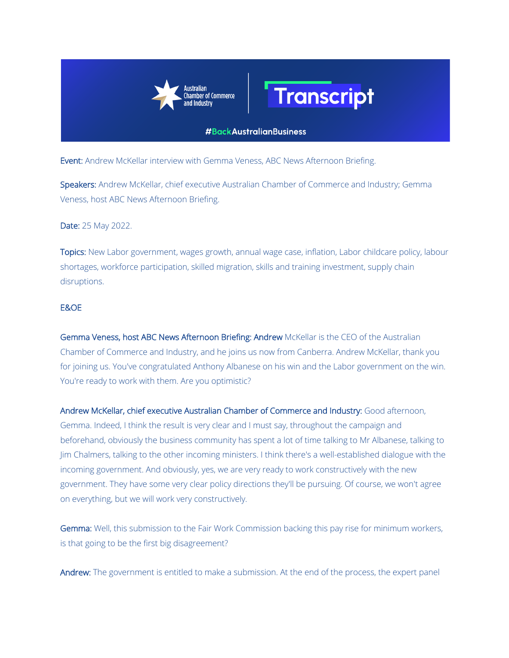



## **#BackAustralianBusiness**

Event: Andrew McKellar interview with Gemma Veness, ABC News Afternoon Briefing.

Speakers: Andrew McKellar, chief executive Australian Chamber of Commerce and Industry; Gemma Veness, host ABC News Afternoon Briefing.

Date: 25 May 2022.

Topics: New Labor government, wages growth, annual wage case, inflation, Labor childcare policy, labour shortages, workforce participation, skilled migration, skills and training investment, supply chain disruptions.

## E&OE

Gemma Veness, host ABC News Afternoon Briefing: Andrew McKellar is the CEO of the Australian Chamber of Commerce and Industry, and he joins us now from Canberra. Andrew McKellar, thank you for joining us. You've congratulated Anthony Albanese on his win and the Labor government on the win. You're ready to work with them. Are you optimistic?

Andrew McKellar, chief executive Australian Chamber of Commerce and Industry: Good afternoon, Gemma. Indeed, I think the result is very clear and I must say, throughout the campaign and beforehand, obviously the business community has spent a lot of time talking to Mr Albanese, talking to Jim Chalmers, talking to the other incoming ministers. I think there's a well-established dialogue with the incoming government. And obviously, yes, we are very ready to work constructively with the new government. They have some very clear policy directions they'll be pursuing. Of course, we won't agree on everything, but we will work very constructively.

Gemma: Well, this submission to the Fair Work Commission backing this pay rise for minimum workers, is that going to be the first big disagreement?

Andrew: The government is entitled to make a submission. At the end of the process, the expert panel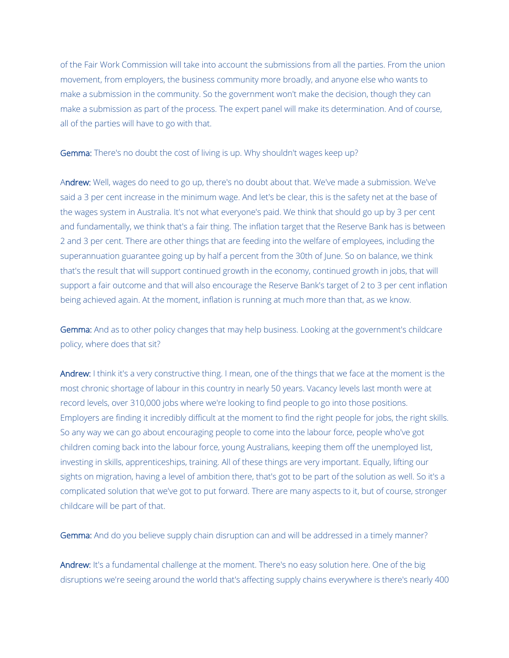of the Fair Work Commission will take into account the submissions from all the parties. From the union movement, from employers, the business community more broadly, and anyone else who wants to make a submission in the community. So the government won't make the decision, though they can make a submission as part of the process. The expert panel will make its determination. And of course, all of the parties will have to go with that.

Gemma: There's no doubt the cost of living is up. Why shouldn't wages keep up?

Andrew: Well, wages do need to go up, there's no doubt about that. We've made a submission. We've said a 3 per cent increase in the minimum wage. And let's be clear, this is the safety net at the base of the wages system in Australia. It's not what everyone's paid. We think that should go up by 3 per cent and fundamentally, we think that's a fair thing. The inflation target that the Reserve Bank has is between 2 and 3 per cent. There are other things that are feeding into the welfare of employees, including the superannuation guarantee going up by half a percent from the 30th of June. So on balance, we think that's the result that will support continued growth in the economy, continued growth in jobs, that will support a fair outcome and that will also encourage the Reserve Bank's target of 2 to 3 per cent inflation being achieved again. At the moment, inflation is running at much more than that, as we know.

Gemma: And as to other policy changes that may help business. Looking at the government's childcare policy, where does that sit?

Andrew: I think it's a very constructive thing. I mean, one of the things that we face at the moment is the most chronic shortage of labour in this country in nearly 50 years. Vacancy levels last month were at record levels, over 310,000 jobs where we're looking to find people to go into those positions. Employers are finding it incredibly difficult at the moment to find the right people for jobs, the right skills. So any way we can go about encouraging people to come into the labour force, people who've got children coming back into the labour force, young Australians, keeping them off the unemployed list, investing in skills, apprenticeships, training. All of these things are very important. Equally, lifting our sights on migration, having a level of ambition there, that's got to be part of the solution as well. So it's a complicated solution that we've got to put forward. There are many aspects to it, but of course, stronger childcare will be part of that.

Gemma: And do you believe supply chain disruption can and will be addressed in a timely manner?

Andrew: It's a fundamental challenge at the moment. There's no easy solution here. One of the big disruptions we're seeing around the world that's affecting supply chains everywhere is there's nearly 400